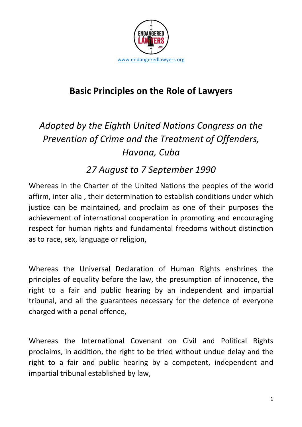

## **Basic Principles on the Role of Lawyers**

# Adopted by the Eighth United Nations Congress on the *Prevention of Crime and the Treatment of Offenders, Havana, Cuba*

### *27 August to 7 September 1990*

Whereas in the Charter of the United Nations the peoples of the world affirm, inter alia, their determination to establish conditions under which justice can be maintained, and proclaim as one of their purposes the achievement of international cooperation in promoting and encouraging respect for human rights and fundamental freedoms without distinction as to race, sex, language or religion,

Whereas the Universal Declaration of Human Rights enshrines the principles of equality before the law, the presumption of innocence, the right to a fair and public hearing by an independent and impartial tribunal, and all the guarantees necessary for the defence of everyone charged with a penal offence,

Whereas the International Covenant on Civil and Political Rights proclaims, in addition, the right to be tried without undue delay and the right to a fair and public hearing by a competent, independent and impartial tribunal established by law,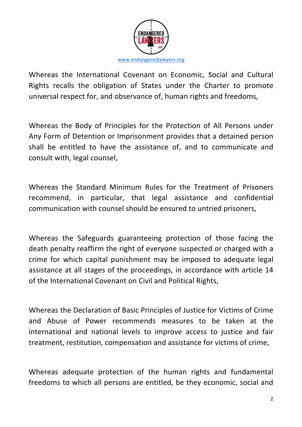

Whereas the International Covenant on Economic, Social and Cultural Rights recalls the obligation of States under the Charter to promote universal respect for, and observance of, human rights and freedoms,

Whereas the Body of Principles for the Protection of All Persons under Any Form of Detention or Imprisonment provides that a detained person shall be entitled to have the assistance of, and to communicate and consult with, legal counsel,

Whereas the Standard Minimum Rules for the Treatment of Prisoners recommend, in particular, that legal assistance and confidential communication with counsel should be ensured to untried prisoners.

Whereas the Safeguards guaranteeing protection of those facing the death penalty reaffirm the right of everyone suspected or charged with a crime for which capital punishment may be imposed to adequate legal assistance at all stages of the proceedings, in accordance with article 14 of the International Covenant on Civil and Political Rights,

Whereas the Declaration of Basic Principles of Justice for Victims of Crime and Abuse of Power recommends measures to be taken at the international and national levels to improve access to justice and fair treatment, restitution, compensation and assistance for victims of crime,

Whereas adequate protection of the human rights and fundamental freedoms to which all persons are entitled, be they economic, social and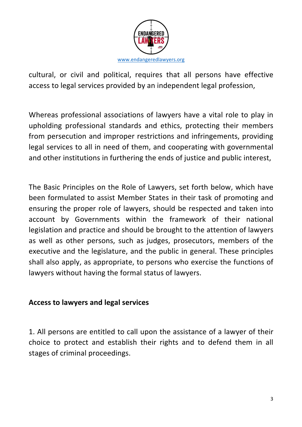

cultural, or civil and political, requires that all persons have effective access to legal services provided by an independent legal profession,

Whereas professional associations of lawyers have a vital role to play in upholding professional standards and ethics, protecting their members from persecution and improper restrictions and infringements, providing legal services to all in need of them, and cooperating with governmental and other institutions in furthering the ends of justice and public interest,

The Basic Principles on the Role of Lawyers, set forth below, which have been formulated to assist Member States in their task of promoting and ensuring the proper role of lawyers, should be respected and taken into account by Governments within the framework of their national legislation and practice and should be brought to the attention of lawyers as well as other persons, such as judges, prosecutors, members of the executive and the legislature, and the public in general. These principles shall also apply, as appropriate, to persons who exercise the functions of lawyers without having the formal status of lawyers.

#### **Access to lawyers and legal services**

1. All persons are entitled to call upon the assistance of a lawyer of their choice to protect and establish their rights and to defend them in all stages of criminal proceedings.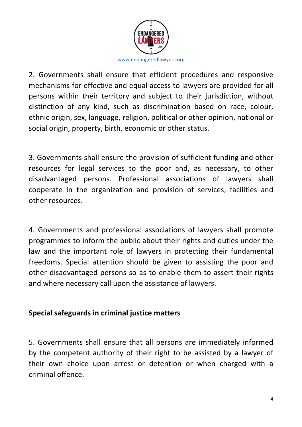

2. Governments shall ensure that efficient procedures and responsive mechanisms for effective and equal access to lawyers are provided for all persons within their territory and subject to their jurisdiction, without distinction of any kind, such as discrimination based on race, colour, ethnic origin, sex, language, religion, political or other opinion, national or social origin, property, birth, economic or other status.

3. Governments shall ensure the provision of sufficient funding and other resources for legal services to the poor and, as necessary, to other disadvantaged persons. Professional associations of lawyers shall cooperate in the organization and provision of services, facilities and other resources.

4. Governments and professional associations of lawyers shall promote programmes to inform the public about their rights and duties under the law and the important role of lawyers in protecting their fundamental freedoms. Special attention should be given to assisting the poor and other disadvantaged persons so as to enable them to assert their rights and where necessary call upon the assistance of lawyers.

#### **Special safeguards in criminal justice matters**

5. Governments shall ensure that all persons are immediately informed by the competent authority of their right to be assisted by a lawyer of their own choice upon arrest or detention or when charged with a criminal offence.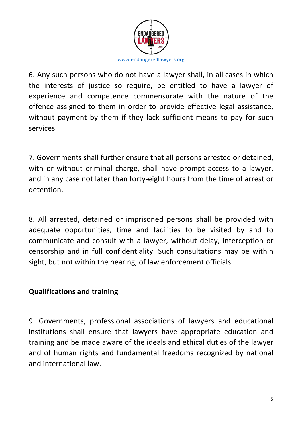

6. Any such persons who do not have a lawyer shall, in all cases in which the interests of justice so require, be entitled to have a lawyer of experience and competence commensurate with the nature of the offence assigned to them in order to provide effective legal assistance, without payment by them if they lack sufficient means to pay for such services.

7. Governments shall further ensure that all persons arrested or detained, with or without criminal charge, shall have prompt access to a lawyer, and in any case not later than forty-eight hours from the time of arrest or detention.

8. All arrested, detained or imprisoned persons shall be provided with adequate opportunities, time and facilities to be visited by and to communicate and consult with a lawyer, without delay, interception or censorship and in full confidentiality. Such consultations may be within sight, but not within the hearing, of law enforcement officials.

#### **Qualifications and training**

9. Governments, professional associations of lawyers and educational institutions shall ensure that lawyers have appropriate education and training and be made aware of the ideals and ethical duties of the lawyer and of human rights and fundamental freedoms recognized by national and international law.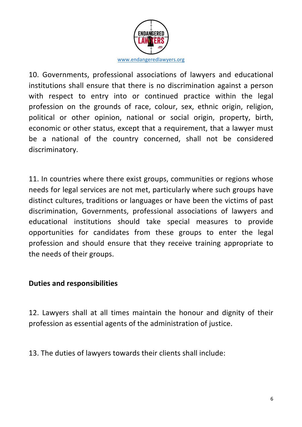

10. Governments, professional associations of lawyers and educational institutions shall ensure that there is no discrimination against a person with respect to entry into or continued practice within the legal profession on the grounds of race, colour, sex, ethnic origin, religion, political or other opinion, national or social origin, property, birth, economic or other status, except that a requirement, that a lawyer must be a national of the country concerned, shall not be considered discriminatory.

11. In countries where there exist groups, communities or regions whose needs for legal services are not met, particularly where such groups have distinct cultures, traditions or languages or have been the victims of past discrimination, Governments, professional associations of lawyers and educational institutions should take special measures to provide opportunities for candidates from these groups to enter the legal profession and should ensure that they receive training appropriate to the needs of their groups.

#### **Duties and responsibilities**

12. Lawyers shall at all times maintain the honour and dignity of their profession as essential agents of the administration of justice.

13. The duties of lawyers towards their clients shall include: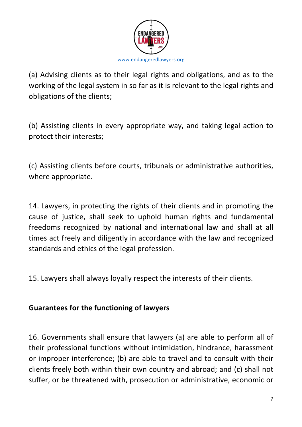

(a) Advising clients as to their legal rights and obligations, and as to the working of the legal system in so far as it is relevant to the legal rights and obligations of the clients;

(b) Assisting clients in every appropriate way, and taking legal action to protect their interests;

(c) Assisting clients before courts, tribunals or administrative authorities, where appropriate.

14. Lawyers, in protecting the rights of their clients and in promoting the cause of justice, shall seek to uphold human rights and fundamental freedoms recognized by national and international law and shall at all times act freely and diligently in accordance with the law and recognized standards and ethics of the legal profession.

15. Lawyers shall always loyally respect the interests of their clients.

#### **Guarantees for the functioning of lawyers**

16. Governments shall ensure that lawyers (a) are able to perform all of their professional functions without intimidation, hindrance, harassment or improper interference; (b) are able to travel and to consult with their clients freely both within their own country and abroad; and (c) shall not suffer, or be threatened with, prosecution or administrative, economic or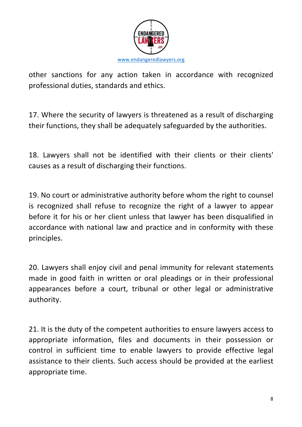

other sanctions for any action taken in accordance with recognized professional duties, standards and ethics.

17. Where the security of lawyers is threatened as a result of discharging their functions, they shall be adequately safeguarded by the authorities.

18. Lawyers shall not be identified with their clients or their clients' causes as a result of discharging their functions.

19. No court or administrative authority before whom the right to counsel is recognized shall refuse to recognize the right of a lawyer to appear before it for his or her client unless that lawyer has been disqualified in accordance with national law and practice and in conformity with these principles.

20. Lawyers shall enjoy civil and penal immunity for relevant statements made in good faith in written or oral pleadings or in their professional appearances before a court, tribunal or other legal or administrative authority.

21. It is the duty of the competent authorities to ensure lawyers access to appropriate information, files and documents in their possession or control in sufficient time to enable lawyers to provide effective legal assistance to their clients. Such access should be provided at the earliest appropriate time.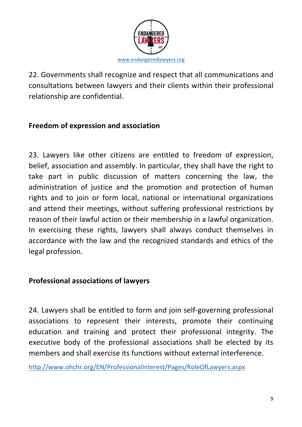

22. Governments shall recognize and respect that all communications and consultations between lawyers and their clients within their professional relationship are confidential.

#### **Freedom of expression and association**

23. Lawyers like other citizens are entitled to freedom of expression, belief, association and assembly. In particular, they shall have the right to take part in public discussion of matters concerning the law, the administration of justice and the promotion and protection of human rights and to join or form local, national or international organizations and attend their meetings, without suffering professional restrictions by reason of their lawful action or their membership in a lawful organization. In exercising these rights, lawyers shall always conduct themselves in accordance with the law and the recognized standards and ethics of the legal profession.

#### **Professional associations of lawyers**

24. Lawyers shall be entitled to form and join self-governing professional associations to represent their interests, promote their continuing education and training and protect their professional integrity. The executive body of the professional associations shall be elected by its members and shall exercise its functions without external interference.

http://www.ohchr.org/EN/ProfessionalInterest/Pages/RoleOfLawyers.aspx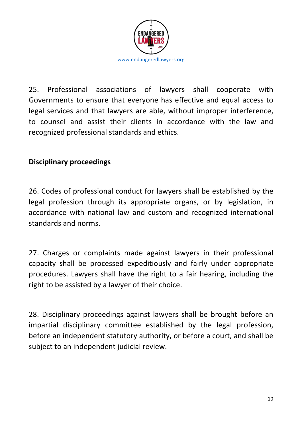

25. Professional associations of lawyers shall cooperate with Governments to ensure that everyone has effective and equal access to legal services and that lawyers are able, without improper interference, to counsel and assist their clients in accordance with the law and recognized professional standards and ethics.

#### **Disciplinary proceedings**

26. Codes of professional conduct for lawyers shall be established by the legal profession through its appropriate organs, or by legislation, in accordance with national law and custom and recognized international standards and norms.

27. Charges or complaints made against lawyers in their professional capacity shall be processed expeditiously and fairly under appropriate procedures. Lawyers shall have the right to a fair hearing, including the right to be assisted by a lawyer of their choice.

28. Disciplinary proceedings against lawyers shall be brought before an impartial disciplinary committee established by the legal profession, before an independent statutory authority, or before a court, and shall be subject to an independent judicial review.